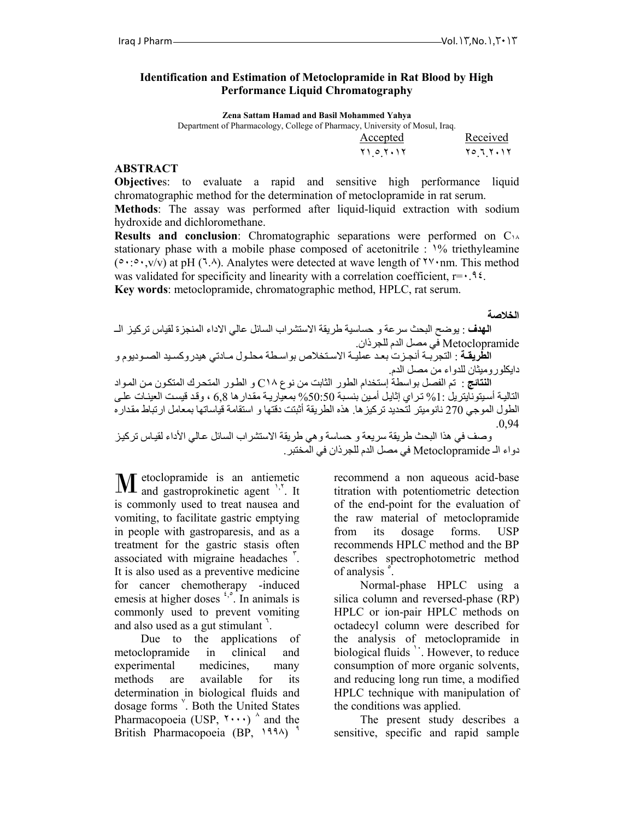#### **Identification and Estimation of Metoclopramide in Rat Blood by High Performance Liquid Chromatography**

**Zena Sattam Hamad and Basil Mohammed Yahya**

| Department of Pharmacology, College of Pharmacy, University of Mosul, Iraq. |                   |
|-----------------------------------------------------------------------------|-------------------|
| Accepted                                                                    | Received          |
| ۲۱ ه ۲۰۱۲                                                                   | ۲ ۱ ، ۲ ، ۲ ، ۱ ، |
|                                                                             |                   |

#### **ABSTRACT**

**Objective**s: to evaluate a rapid and sensitive high performance liquid chromatographic method for the determination of metoclopramide in rat serum.

**Methods**: The assay was performed after liquid-liquid extraction with sodium hydroxide and dichloromethane.

**Results and conclusion**: Chromatographic separations were performed on C<sub>14</sub> stationary phase with a mobile phase composed of acetonitrile : ١% triethyleamine (٥٠:٥٠,v/v) at pH (٦.٨). Analytes were detected at wave length of ٢٧٠nm. This method was validated for specificity and linearity with a correlation coefficient,  $r = \cdot 96$ . **Key words**: metoclopramide, chromatographic method, HPLC, rat serum.

**الخلاصة**

ا**لهدف** : يوضح البحث سرعة و حساسية طريقة الاستشراب السائل عالي الاداء المنجزة لقياس تركيز الــ Metoclopramide في مصل الدم للجرذان. **الطّريقَة** : التجربـة أنجـزت بعد عمليـة الاسـتخلاص بواسـطة محلـول مـادتي هيدروكسـيد الصـوديوم و دايكلوروميثان للدواء من مصل الدم. ا**لنتائج** : تم الفصل بواسطة إستخدام الطور الثابت من نوع C1۸ و الطـور المتحرك المتكـون مـن المـواد التاليـة أسيتونايتريل :1% تراي إثايل أمين بنسبة 50:50% بمعياريـة مقدار ها 6,8 ، وقد قيست العينـات علـي الطول الموجي 270 نانوميتر لتحديد تركيزها. هذه الطريقة أثبتت دقتها و استقامة قياساتها بمعامل ارتباط مقداره .0,94

وصف في هذا البحث طريقة سريعة و حساسة و هي طريقة الاستشراب السائل عالي الأداء لقياس تركيز دواء الـ Metoclopramide في مصل الدم للجرذان في المختبر.

etoclopramide is an antiemetic **M** etoclopramide is an antiemetic agent <sup>1,7</sup>. It is commonly used to treat nausea and vomiting, to facilitate gastric emptying in people with gastroparesis, and as a treatment for the gastric stasis often associated with migraine headaches <sup>r</sup>. It is also used as a preventive medicine for cancer chemotherapy -induced emesis at higher doses  $\frac{1}{2}$ . In animals is commonly used to prevent vomiting and also used as a gut stimulant  $\cdot$ .

Due to the applications of metoclopramide in clinical and experimental medicines, many methods are available for its determination in biological fluids and dosage forms <sup>Y</sup>. Both the United States Pharmacopoeia (USP,  $\cdots$ )  $\wedge$  and the British Pharmacopoeia (BP, 1994)

recommend a non aqueous acid-base titration with potentiometric detection of the end-point for the evaluation of the raw material of metoclopramide from its dosage forms. USP recommends HPLC method and the BP describes spectrophotometric method of analysis  $\hat{S}$ .

Normal-phase HPLC using a silica column and reversed-phase (RP) HPLC or ion-pair HPLC methods on octadecyl column were described for the analysis of metoclopramide in biological fluids  $\cdot$ . However, to reduce consumption of more organic solvents, and reducing long run time, a modified HPLC technique with manipulation of the conditions was applied.

The present study describes a sensitive, specific and rapid sample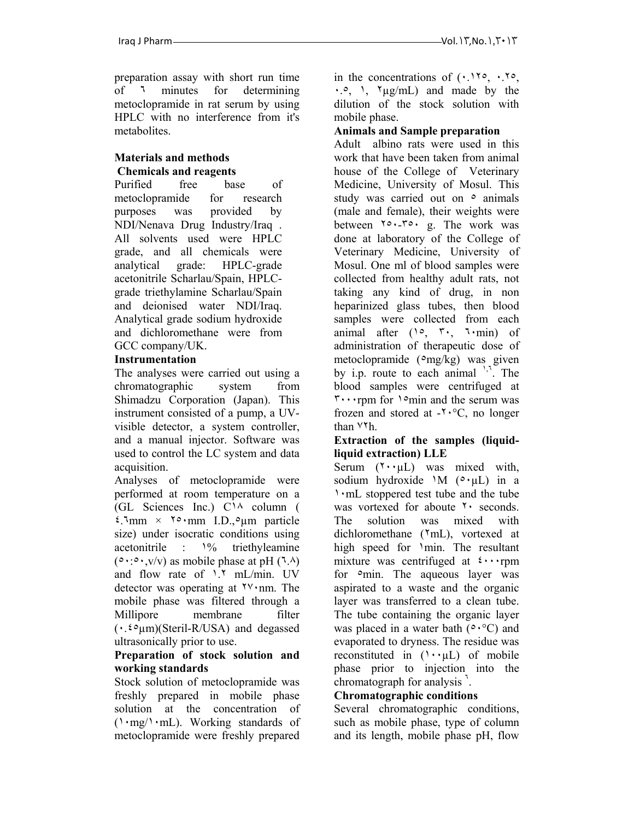preparation assay with short run time of ٦ minutes for determining metoclopramide in rat serum by using HPLC with no interference from it's metabolites.

## **Materials and methods Chemicals and reagents**

Purified free base of metoclopramide for research purposes was provided by NDI/Nenava Drug Industry/Iraq . All solvents used were HPLC grade, and all chemicals were analytical grade: HPLC-grade acetonitrile Scharlau/Spain, HPLCgrade triethylamine Scharlau/Spain and deionised water NDI/Iraq. Analytical grade sodium hydroxide and dichloromethane were from GCC company/UK.

## **Instrumentation**

The analyses were carried out using a chromatographic system from Shimadzu Corporation (Japan). This instrument consisted of a pump, a UVvisible detector, a system controller, and a manual injector. Software was used to control the LC system and data acquisition.

Analyses of metoclopramide were performed at room temperature on a (GL Sciences Inc.) C١٨ column (  $\frac{\text{A}_{\text{mm}}}{\text{A}_{\text{mm}}}$   $\times$   $\times$   $\times$   $\times$  mm I.D.,  $\circ$ um particle size) under isocratic conditions using acetonitrile : ١% triethyleamine  $(0 \cdot 0 \cdot y/v)$  as mobile phase at pH  $(7.4)$ and flow rate of ١.٢ mL/min. UV detector was operating at ٢٧٠nm. The mobile phase was filtered through a Millipore membrane filter  $(\cdot, \xi \circ \mu m)$ (Steril-R/USA) and degassed ultrasonically prior to use.

## **Preparation of stock solution and working standards**

Stock solution of metoclopramide was freshly prepared in mobile phase solution at the concentration of (١٠mg/١٠mL). Working standards of metoclopramide were freshly prepared

in the concentrations of  $( \cdot \cdot )$  1.10,  $\cdot$ , 10, ٠.٥, ١, ٢µg/mL) and made by the dilution of the stock solution with mobile phase.

## **Animals and Sample preparation**

Adult albino rats were used in this work that have been taken from animal house of the College of Veterinary Medicine, University of Mosul. This study was carried out on  $\circ$  animals (male and female), their weights were between ٢٥٠-٣٥٠ g. The work was done at laboratory of the College of Veterinary Medicine, University of Mosul. One ml of blood samples were collected from healthy adult rats, not taking any kind of drug, in non heparinized glass tubes, then blood samples were collected from each animal after  $(10, 7)$ ,  $7 \cdot$ min) of administration of therapeutic dose of metoclopramide  $(\text{mg/kg})$  was given by i.p. route to each animal ',<sup>1</sup>. The blood samples were centrifuged at ٣٠٠٠rpm for ١٥min and the serum was frozen and stored at -٢٠°C, no longer than ٧٢h.

#### **Extraction of the samples (liquidliquid extraction) LLE**

Serum  $(Y \cdot \mu L)$  was mixed with, sodium hydroxide  $M(\circ \cdot \mu)$  in a ١٠mL stoppered test tube and the tube was vortexed for aboute <sup>٢</sup> · seconds. The solution was mixed with dichloromethane (٢mL), vortexed at high speed for 'min. The resultant mixture was centrifuged at  $\cdots$ rpm for  $\circ$ min. The aqueous layer was aspirated to a waste and the organic layer was transferred to a clean tube. The tube containing the organic layer was placed in a water bath  $(° \cdot °C)$  and evaporated to dryness. The residue was reconstituted in  $(1 \cdot \mu L)$  of mobile phase prior to injection into the chromatograph for analysis  $\cdot$ .

## **Chromatographic conditions**

Several chromatographic conditions, such as mobile phase, type of column and its length, mobile phase pH, flow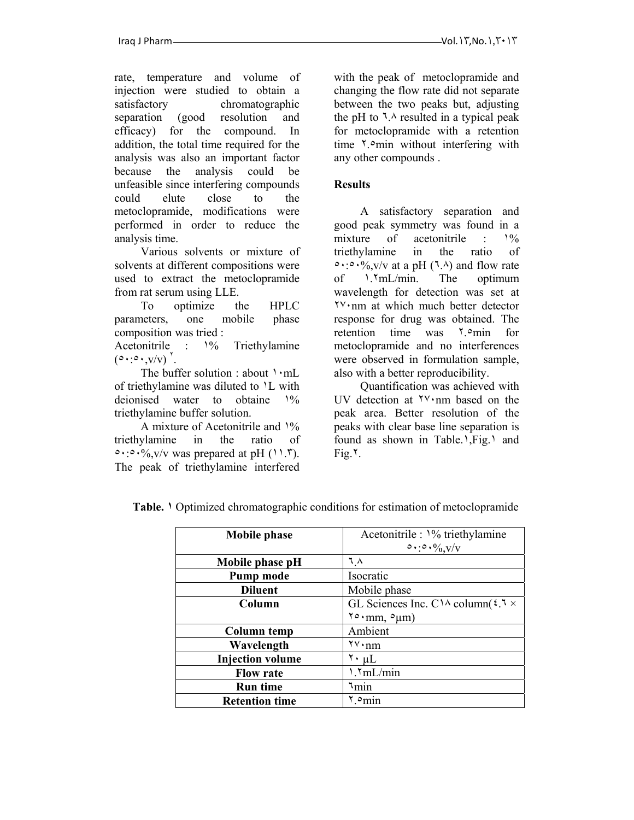rate, temperature and volume of injection were studied to obtain a satisfactory chromatographic separation (good resolution and efficacy) for the compound. In addition, the total time required for the analysis was also an important factor because the analysis could be unfeasible since interfering compounds could elute close to the metoclopramide, modifications were performed in order to reduce the analysis time.

Various solvents or mixture of solvents at different compositions were used to extract the metoclopramide from rat serum using LLE.

To optimize the HPLC parameters, one mobile phase composition was tried : Acetonitrile : ١% Triethylamine  $(0 \cdot 0 \cdot y/v)$ <sup>\*</sup>

. The buffer solution : about  $\cdot$ mL of triethylamine was diluted to ١L with deionised water to obtaine ١% triethylamine buffer solution.

A mixture of Acetonitrile and ١% triethylamine in the ratio of  $\circ \cdot \cdot \circ \cdot \%$ ,  $v/v$  was prepared at pH (11.5). The peak of triethylamine interfered with the peak of metoclopramide and changing the flow rate did not separate between the two peaks but, adjusting the pH to  $\lambda$  resulted in a typical peak for metoclopramide with a retention time  $\frac{1}{2}$  min without interfering with any other compounds .

# **Results**

A satisfactory separation and good peak symmetry was found in a mixture of acetonitrile :  $\frac{10}{6}$ triethylamine in the ratio of  $\circ \cdot \cdot \circ \cdot \%$ , v/v at a pH (7.4) and flow rateof ١.٢mL/min. The optimum wavelength for detection was set at ٢٧٠nm at which much better detector response for drug was obtained. The retention time was ٢.٥min for metoclopramide and no interferences were observed in formulation sample, also with a better reproducibility.

Quantification was achieved with UV detection at ٢٧٠nm based on the peak area. Better resolution of the peaks with clear base line separation is found as shown in Table.<sup>1</sup>,Fig.<sup>1</sup> and  $Fig.7.$ 

| <b>Mobile phase</b>     | Acetonitrile : 1% triethylamine<br>$\circ \cdot \cdot \circ \cdot \frac{0}{0}$ v/v |
|-------------------------|------------------------------------------------------------------------------------|
| Mobile phase pH         | ٦ ٨                                                                                |
| Pump mode               | Isocratic                                                                          |
| <b>Diluent</b>          | Mobile phase                                                                       |
| Column                  | GL Sciences Inc. C <sup><math>\lambda</math></sup> column( $\zeta$ , $\lambda$ ×   |
|                         | $\sqrt{6} \cdot$ mm, $\circ \mu$ m)                                                |
| <b>Column temp</b>      | Ambient                                                                            |
| Wavelength              | $\mathbf{v} \cdot \mathbf{nm}$                                                     |
| <b>Injection volume</b> | $\mathbf{v} \cdot \mathbf{\mu}$ L                                                  |
| <b>Flow rate</b>        | \.\mL/min                                                                          |
| <b>Run time</b>         | ∖min                                                                               |
| <b>Retention time</b>   | omin ۲                                                                             |

**Table. ١** Optimized chromatographic conditions for estimation of metoclopramide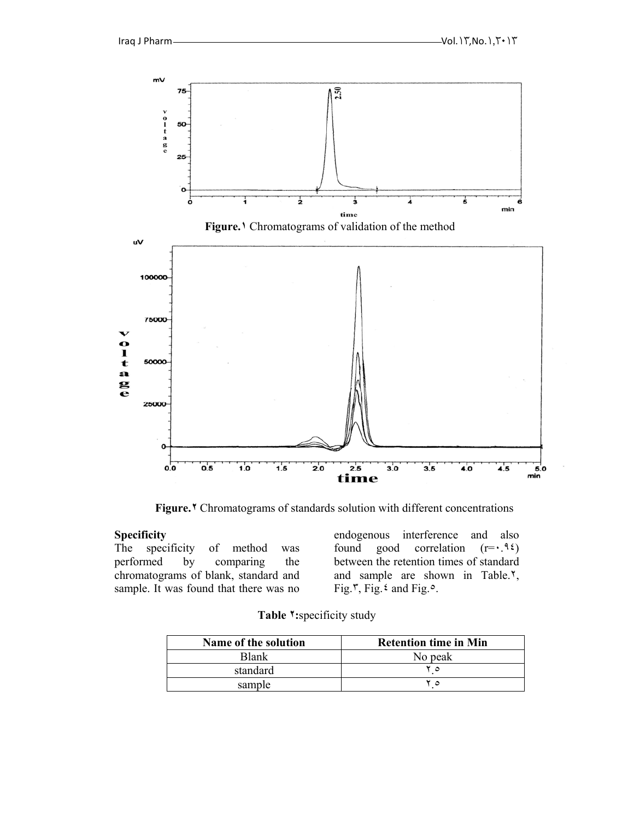

**Figure.٢** Chromatograms of standards solution with different concentrations

#### **Specificity**

The specificity of method was performed by comparing the chromatograms of blank, standard and sample. It was found that there was no endogenous interference and also found good correlation  $(r = \cdot, 95)$ between the retention times of standard and sample are shown in Table.٢, Fig. $\zeta$ , Fig.  $\zeta$  and Fig.  $\circ$ .

| Table <sup>1</sup> : specificity study |  |
|----------------------------------------|--|
|                                        |  |

| Name of the solution | <b>Retention time in Min</b> |
|----------------------|------------------------------|
| Blank                | No peak                      |
| standard             | $\circ$                      |
| sample               | ٥                            |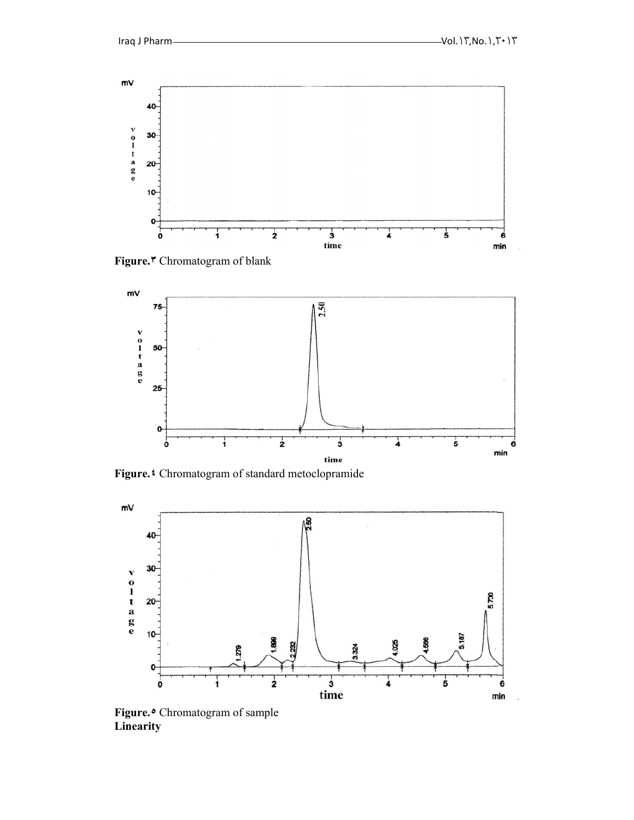

**Figure.٣** Chromatogram of blank



**Figure.٤** Chromatogram of standard metoclopramide



**Figure.٥** Chromatogram of sample **Linearity**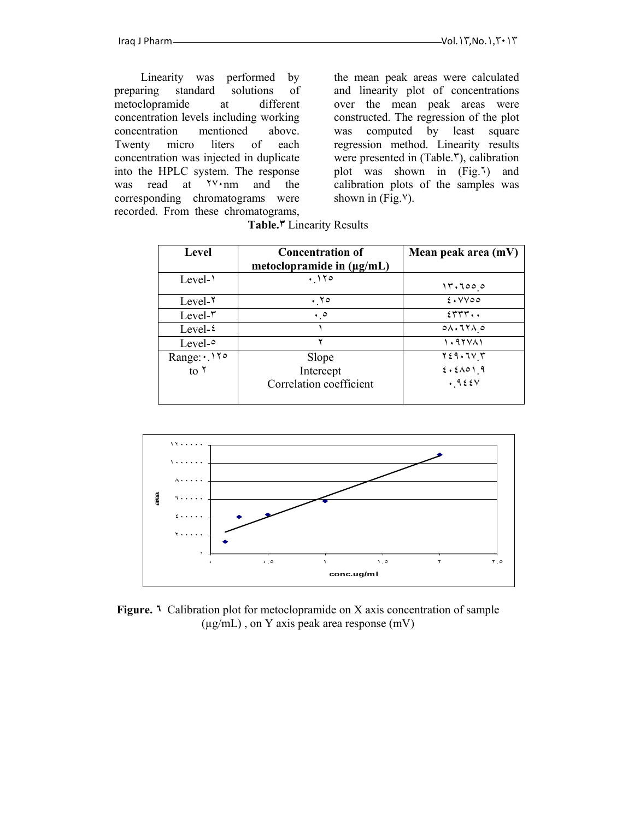Linearity was performed by preparing standard solutions of metoclopramide at different concentration levels including working concentration mentioned above. Twenty micro liters of each concentration was injected in duplicate into the HPLC system. The response was read at  $\forall$  mm and the corresponding chromatograms were recorded. From these chromatograms,

the mean peak areas were calculated and linearity plot of concentrations over the mean peak areas were constructed. The regression of the plot was computed by least square regression method. Linearity results were presented in (Table.٣), calibration plot was shown in (Fig.٦) and calibration plots of the samples was shown in  $(Fig. <sup>V</sup>)$ .

| Level             | <b>Concentration of</b><br>metoclopramide in $(\mu g/mL)$ | Mean peak area (mV)    |
|-------------------|-----------------------------------------------------------|------------------------|
| Level- $\lambda$  | .170                                                      | 17.7000                |
| $Level-1$         | . 70                                                      | $2.1$ YV00             |
| $Level-\tau$      | $\cdot \cdot$                                             | 5555.                  |
| Level- $\epsilon$ |                                                           | $0 \wedge 17 \wedge 0$ |
| Level- $\circ$    |                                                           | 1.97 V <sub>1</sub>    |
| Range: 110        | Slope                                                     | $Y \xi$ 9. $TV$ $Y$    |
| to $\lambda$      | Intercept                                                 | 2.51019                |
|                   | Correlation coefficient                                   | .925V                  |

|  | Table. <sup>*</sup> Linearity Results |  |
|--|---------------------------------------|--|
|--|---------------------------------------|--|



**Figure. ٦** Calibration plot for metoclopramide on X axis concentration of sample (µg/mL) , on Y axis peak area response (mV)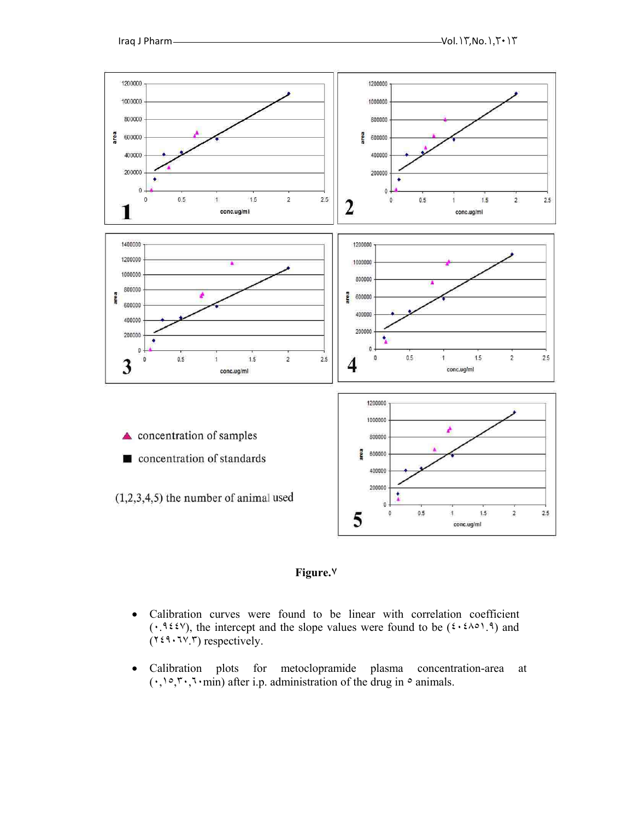



- Calibration curves were found to be linear with correlation coefficient  $(\cdot, \mathcal{H} \in \mathcal{H})$ , the intercept and the slope values were found to be  $(\mathcal{H} \in \mathcal{H})$  and  $(Y \in \mathcal{X}, Y, Y)$  respectively.
- Calibration plots for metoclopramide plasma concentration-area at  $(\cdot, \cdot) \circ, \cdot \circ, \cdot \text{min})$  after i.p. administration of the drug in  $\circ$  animals.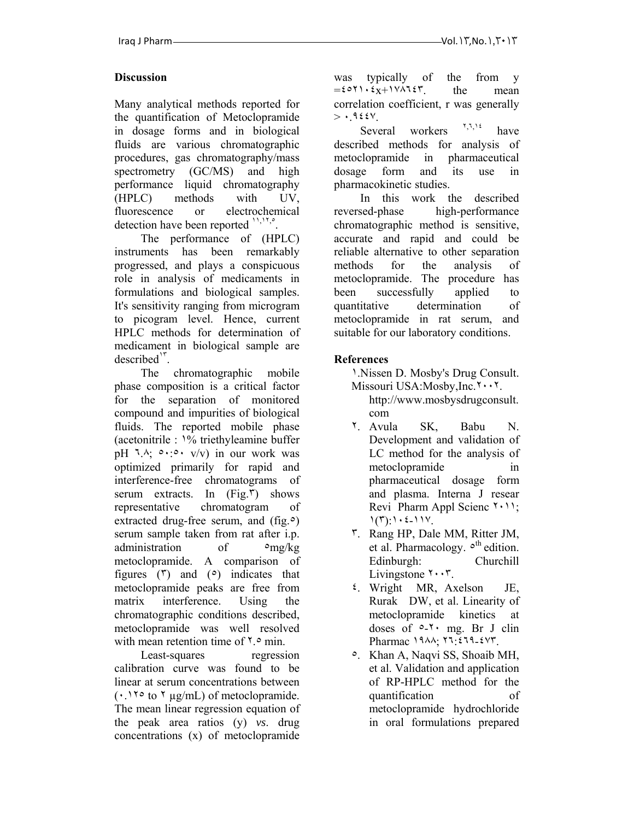## **Discussion**

Many analytical methods reported for the quantification of Metoclopramide in dosage forms and in biological fluids are various chromatographic procedures, gas chromatography/mass spectrometry (GC/MS) and high performance liquid chromatography (HPLC) methods with UV, fluorescence or electrochemical detection have been reported ",",".

The performance of (HPLC) instruments has been remarkably progressed, and plays a conspicuous role in analysis of medicaments in formulations and biological samples. It's sensitivity ranging from microgram to picogram level. Hence, current HPLC methods for determination of medicament in biological sample are  $described'$ .

The chromatographic mobile phase composition is a critical factor for the separation of monitored compound and impurities of biological fluids. The reported mobile phase (acetonitrile : ١% triethyleamine buffer pH  $\lambda$ ;  $\circ \cdot \circ \cdot \sqrt{v}$  in our work was optimized primarily for rapid and interference-free chromatograms of serum extracts. In  $(Fig, \nabla)$  shows representative chromatogram of extracted drug-free serum, and  $(fig, \circ)$ serum sample taken from rat after i.p. administration of  $\log/kg$ metoclopramide. A comparison of figures  $(\tilde{r})$  and  $(\circ)$  indicates that metoclopramide peaks are free from matrix interference. Using the chromatographic conditions described, metoclopramide was well resolved with mean retention time of  $\zeta$ .<sup>o</sup> min.

Least-squares regression calibration curve was found to be linear at serum concentrations between  $(\cdot)$  1.10 to 1 µg/mL) of metoclopramide. The mean linear regression equation of the peak area ratios (y) *vs*. drug concentrations (x) of metoclopramide

was typically of the from y  $= \frac{\epsilon}{x} + \frac{v}{\sqrt{x}}$  the mean correlation coefficient, r was generally  $>$   $\cdot$  9228

Several workers  $\frac{1}{2}$ , have described methods for analysis of metoclopramide in pharmaceutical dosage form and its use in pharmacokinetic studies.

In this work the described reversed-phase high-performance chromatographic method is sensitive, accurate and rapid and could be reliable alternative to other separation methods for the analysis of metoclopramide. The procedure has been successfully applied to quantitative determination of metoclopramide in rat serum, and suitable for our laboratory conditions.

# **References**

١.Nissen D. Mosby's Drug Consult. Missouri USA:Mosby,Inc.٢٠٠٢.

- http://www.mosbysdrugconsult. com
- ٢. Avula SK, Babu N. Development and validation of LC method for the analysis of metoclopramide in pharmaceutical dosage form and plasma. Interna J resear Revi Pharm Appl Scienc ٢٠١١;  $1(T)$ :  $1 \cdot 2 - 11V$ .
- ٣. Rang HP, Dale MM, Ritter JM, et al. Pharmacology.  $\circ$ <sup>th</sup> edition. Edinburgh: Churchill Livingstone  $\mathbf{r} \cdot \mathbf{r}$ .
- ٤. Wright MR, Axelson JE, Rurak DW, et al. Linearity of metoclopramide kinetics at doses of  $0.5$  mg. Br J clin Pharmac ١٩٨٨; ٢٦:٤٦٩-٤٧٣.
- ٥. Khan A, Naqvi SS, Shoaib MH, et al. Validation and application of RP-HPLC method for the quantification of metoclopramide hydrochloride in oral formulations prepared